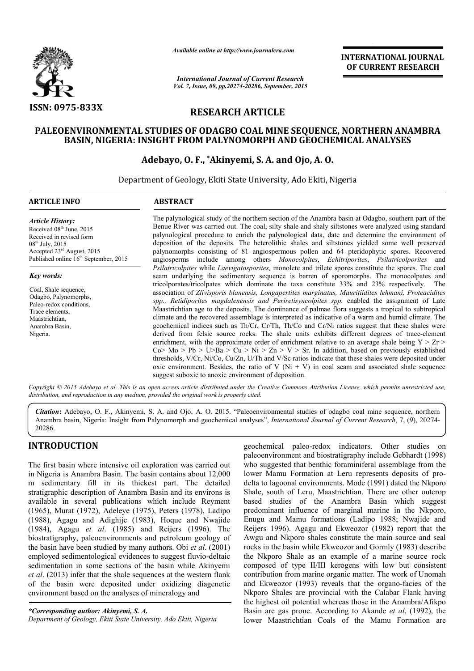

*Available online at http://www.journalcra.com*

*International Journal of Current Research Vol. 7, Issue, 09, pp.20274-20286, September, 2015* **INTERNATIONAL INTERNATIONAL JOURNAL OF CURRENT RESEARCH** 

# **RESEARCH ARTICLE**

## **PALEOENVIRONMENTAL STUDIES OF ODAGBO COAL MINE SEQUENCE, NORTHERN ANAMBRA BASIN, NIGERIA: INSIGHT FROM PALYNOMORPH AND GEOCHEMICAL ANALYSES COAL MINE ANALYSES**

## **Adebayo, O. F., \*Akinyemi, S. A. and Ojo, A. O.**

Department of Geology, Ekiti State University, Ado Ekiti, Nigeria **.** 

#### **ARTICLE INFO ABSTRACT**

*Article History:* Received 08<sup>th</sup> June, 2015 Received in revised form 08<sup>th</sup> July, 2015 Accepted 23rd August, 2015 Published online 16<sup>th</sup> September, 2015

#### *Key words:*

Coal, Shale sequence, Odagbo, Palynomorphs, Paleo-redox conditions, Trace elements, Maastrichtian, Anambra Basin, Nigeria.

The palynological study of the northern section of the Anambra basin at Odagbo, southern part of the Benue River was carried out. The coal, silty shale and shaly siltstones were analyzed using standard palynological procedure to enrich the palynological data, date and determine the environment of deposition of the deposits. The heterolithic shales and siltstones yielded some well preserved The palynological study of the northern section of the Anambra basin at Odagbo, southern part of the Benue River was carried out. The coal, silty shale and shaly siltstones were analyzed using standard palynological proced angiosperms include among others Monocolpites, Echitriporites, Psilatricolporites and *Psilatricolpites* while *Laevigatosporites,* monolete and trilete spores constitute the spores. The coal Psilatricolpites while Laevigatosporites, monolete and trilete spores constitute the spores. The coal seam underlying the sedimentary sequence is barren of sporomorphs. The monocolpates and tricolporates/tricolpates which dominate the taxa constitute 33% and 23% respectively. The association of *Zlivisporis blanensis, Longapertites marginatus, Mauritiidites lehmani, Proteacidites*  association of Zlivisporis blanensis, Longapertites marginatus, Mauritiidites lehmani, Proteacidites<br>spp., Retidiporites magdalenensis and Periretisyncolpites spp. enabled the assignment of Late Maastrichtian age to the deposits. The dominance of palmae flora suggests a tropical to subtropical climate and the recovered assemblage is interpreted as indicative of a warm and humid climate. The geochemical indices such as Th/Cr, Cr/Th, Th/Co and Cr/Ni ratios suggest that these shales were derived from felsic source rocks. The shale units exhibits different degrees of trace-element enrichment, with the approximate order of enrichment relative to an average shale being  $Y > Zr$ Co> Mo > Pb > U>Ba > Cu > Ni > Zn > V > Sr. In addition, based on previously established thresholds,  $V/Cr$ ,  $Ni/Co$ ,  $Cu/Zn$ ,  $U/Th$  and  $V/Sc$  ratios indicate that these shales were deposited under oxic environment. Besides, the ratio of V ( $Ni + V$ ) in coal seam and associated shale sequence suggest suboxic to anoxic environment of deposition. chian age to the deposits. The dominance of palmae flora suggests a tropical to subtropical<br>and the recovered assemblage is interpreted as indicative of a warm and humid climate. The<br>nical indices such as Th/Cr, Cr/Th, Th/ hment, with the approximate order of enrichment relative to an average shale being  $Y > Zr > Mo > Pb > U > Ba > Cu > Ni > Zn > V > Sr$ . In addition, based on previously established nolds, V/Cr, Ni/Co, Cu/Zn, U/Th and V/Sc ratios indicate that thes

Copyright © 2015 Adebayo et al. This is an open access article distributed under the Creative Commons Attribution License, which permits unrestricted use, distribution, and reproduction in any medium, provided the original work is properly cited.

Citation: Adebayo, O. F., Akinyemi, S. A. and Ojo, A. O. 2015. "Paleoenvironmental studies of odagbo coal mine sequence, northern Anambra basin, Nigeria: Insight from Palynomorph and geochemical analyses", *International Journal of Current Research*, 7, (9), 20274-20286.

# **INTRODUCTION**

The first basin where intensive oil exploration was carried out in Nigeria is Anambra Basin. The basin contains about 12,000 m sedimentary fill in its thickest part. The detailed stratigraphic description of Anambra Basin and its environs is available in several publications which include Reyment (1965), Murat (1972), Adeleye (1975), Peters (1978), Ladipo available in several publications which include Reyment<br>(1965), Murat (1972), Adeleye (1975), Peters (1978), Ladipo<br>(1988), Agagu and Adighije (1983), Hoque and Nwajide (1984), Agagu *et al*. (1985) and Reijers (1996). The biostratigraphy, paleoenvironments and petroleum geology of the basin have been studied by many authors. Obi *et al*. (2001) employed sedimentological evidences to suggest fluvio-deltaic sedimentation in some sections of the basin while Akinyemi et al. (2013) infer that the shale sequences at the western flank of the basin were deposited under oxidizing diagenetic environment based on the analyses of mineralogy and

geochemical paleo-redox indicators. Other studies on paleoenvironment and biostratigraphy include Gebhardt (1998) who suggested that benthic foraminiferal assemblage from the lower Mamu Formation at Leru represents deposits of pro delta to lagoonal environments. Mode (1991) dated the Nkporo Shale, south of Leru, Maastrichtian. There are other outcrop based studies of the Anambra Basin which suggest predominant influence of marginal marine in the Nkporo, Enugu and Mamu formations (Ladipo 1988; Nwajide Reijers 1996). Agagu and Ekweozor (1982) report that the Awgu and Nkporo shales constitute the main source and seal Awgu and Nkporo shales constitute the main source and seal rocks in the basin while Ekweozor and Gormly (1983) describe the Nkporo Shale as an example of a marine source rock the Nkporo Shale as an example of a marine source rock composed of type II/III kerogens with low but consistent contribution from marine organic matter. The work of Unomah contribution from marine organic matter. The work of Unomah and Ekweozor (1993) reveals that the organo-facies of the Nkporo Shales are provincial with the Calabar Flank having Nkporo Shales are provincial with the Calabar Flank having<br>the highest oil potential whereas those in the Anambra/Afikpo Basin are gas prone. According to Akande et al. (1992), the lower Maastrichtian Coals of the Mamu Formation are geochemical paleo-redox indicators. Other studies on<br>paleoenvironment and biostratigraphy include Gebhardt (1998)<br>who suggested that benthic foraminiferal assemblage from the<br>lower Mamu Formation at Leru represents deposit of Leru, Maastrichtian. There are other outcrop<br>es of the Anambra Basin which suggest<br>influence of marginal marine in the Nkporo,<br>Mamu formations (Ladipo 1988; Nwajide and **INTERNATIONAL JOURNAL FORM SCENE TO THE CONSULTERED AND CONSULTERED (OF CURRENT RESEARCH OF CURRENT RESEARCH CONSULTERED (OF CURRENT RESEARCH 2013),**  $\mathbf{Q}(\mathbf{X}, \mathbf{Y})$  **and**  $\mathbf{Y}(\mathbf{X}, \mathbf{Y})$  **and**  $\mathbf{Y}(\mathbf{X}, \mathbf{Y})$ 

*<sup>\*</sup>Corresponding author: Akinyemi, S. A. Department of Geology, Ekiti State University, Ado Ekiti, Nigeria*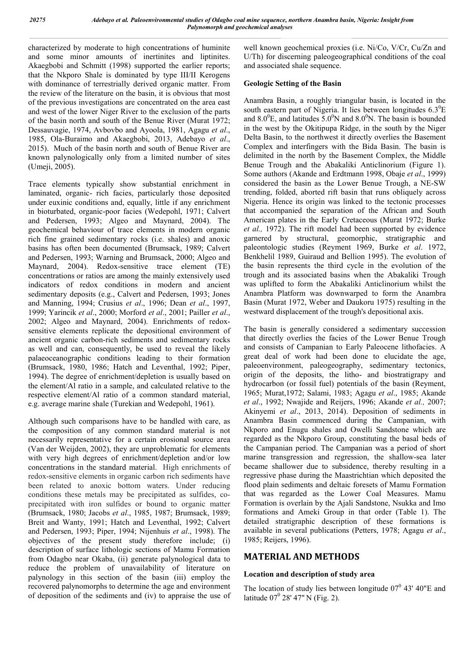characterized by moderate to high concentrations of huminite and some minor amounts of inertinites and liptinites. Akaegbobi and Schmitt (1998) supported the earlier reports; that the Nkporo Shale is dominated by type III/II Kerogens with dominance of terrestrially derived organic matter. From the review of the literature on the basin, it is obvious that most of the previous investigations are concentrated on the area east and west of the lower Niger River to the exclusion of the parts of the basin north and south of the Benue River (Murat 1972; Dessauvagie, 1974, Avbovbo and Ayoola, 1981, Agagu *et al*., 1985, Ola-Buraimo and Akaegbobi, 2013, Adebayo *et al*., 2015). Much of the basin north and south of Benue River are known palynologically only from a limited number of sites (Umeji, 2005).

Trace elements typically show substantial enrichment in laminated, organic- rich facies, particularly those deposited under euxinic conditions and, equally, little if any enrichment in bioturbated, organic-poor facies (Wedepohl, 1971; Calvert and Pedersen, 1993; Algeo and Maynard, 2004). The geochemical behaviour of trace elements in modern organic rich fine grained sedimentary rocks (i.e. shales) and anoxic basins has often been documented (Brumsack, 1989; Calvert and Pedersen, 1993; Warning and Brumsack, 2000; Algeo and Maynard, 2004). Redox-sensitive trace element (TE) concentrations or ratios are among the mainly extensively used indicators of redox conditions in modern and ancient sedimentary deposits (e.g., Calvert and Pedersen, 1993; Jones and Manning, 1994; Crusius *et al*., 1996; Dean *et al*., 1997, 1999; Yarincik *et al*., 2000; Morford *et al*., 2001; Pailler *et al*., 2002; Algeo and Maynard, 2004). Enrichments of redoxsensitive elements replicate the depositional environment of ancient organic carbon-rich sediments and sedimentary rocks as well and can, consequently, be used to reveal the likely palaeoceanographic conditions leading to their formation (Brumsack, 1980, 1986; Hatch and Leventhal, 1992; Piper, 1994). The degree of enrichment/depletion is usually based on the element/Al ratio in a sample, and calculated relative to the respective element/Al ratio of a common standard material, e.g. average marine shale (Turekian and Wedepohl, 1961).

Although such comparisons have to be handled with care, as the composition of any common standard material is not necessarily representative for a certain erosional source area (Van der Weijden, 2002), they are unproblematic for elements with very high degrees of enrichment/depletion and/or low concentrations in the standard material. High enrichments of redox-sensitive elements in organic carbon rich sediments have been related to anoxic bottom waters. Under reducing conditions these metals may be precipitated as sulfides, coprecipitated with iron sulfides or bound to organic matter (Brumsack, 1980; Jacobs *et al*., 1985, 1987; Brumsack, 1989; Breit and Wanty, 1991; Hatch and Leventhal, 1992; Calvert and Pedersen, 1993; Piper, 1994; Nijenhuis *et al*., 1998). The objectives of the present study therefore include; (i) description of surface lithologic sections of Mamu Formation from Odagbo near Okaba, (ii) generate palynological data to reduce the problem of unavailability of literature on palynology in this section of the basin (iii) employ the recovered palynomorphs to determine the age and environment of deposition of the sediments and (iv) to appraise the use of

well known geochemical proxies (i.e. Ni/Co, V/Cr, Cu/Zn and U/Th) for discerning paleogeographical conditions of the coal and associated shale sequence.

# **Geologic Setting of the Basin**

Anambra Basin, a roughly triangular basin, is located in the south eastern part of Nigeria. It lies between longitudes  $6.3^{\circ}E$ and  $8.0^{\circ}$ E, and latitudes  $5.0^{\circ}$ N and  $8.0^{\circ}$ N. The basin is bounded in the west by the Okitipupa Ridge, in the south by the Niger Delta Basin, to the northwest it directly overlies the Basement Complex and interfingers with the Bida Basin. The basin is delimited in the north by the Basement Complex, the Middle Benue Trough and the Abakaliki Anticlinorium (Figure 1). Some authors (Akande and Erdtmann 1998, Obaje *et al*., 1999) considered the basin as the Lower Benue Trough, a NE-SW trending, folded, aborted rift basin that runs obliquely across Nigeria. Hence its origin was linked to the tectonic processes that accompanied the separation of the African and South American plates in the Early Cretaceous (Murat 1972; Burke *et al.,* 1972). The rift model had been supported by evidence garnered by structural, geomorphic, stratigraphic and paleontologic studies (Reyment 1969, Burke *et al*. 1972, Benkhelil 1989, Guiraud and Bellion 1995). The evolution of the basin represents the third cycle in the evolution of the trough and its associated basins when the Abakaliki Trough was uplifted to form the Abakaliki Anticlinorium whilst the Anambra Platform was downwarped to form the Anambra Basin (Murat 1972, Weber and Daukoru 1975) resulting in the westward displacement of the trough's depositional axis.

The basin is generally considered a sedimentary succession that directly overlies the facies of the Lower Benue Trough and consists of Campanian to Early Paleocene lithofacies. A great deal of work had been done to elucidate the age, paleoenvironment, paleogeography, sedimentary tectonics, origin of the deposits, the litho- and biostratigrapy and hydrocarbon (or fossil fuel) potentials of the basin (Reyment, 1965; Murat,1972; Salami, 1983; Agagu *et al*., 1985; Akande *et al*., 1992; Nwajide and Reijers, 1996; Akande *et al.,* 2007; Akinyemi *et al*., 2013, 2014). Deposition of sediments in Anambra Basin commenced during the Campanian, with Nkporo and Enugu shales and Owelli Sandstone which are regarded as the Nkporo Group, constituting the basal beds of the Campanian period. The Campanian was a period of short marine transgression and regression, the shallow-sea later became shallower due to subsidence, thereby resulting in a regressive phase during the Maastrichtian which deposited the flood plain sediments and deltaic foresets of Mamu Formation that was regarded as the Lower Coal Measures. Mamu Formation is overlain by the Ajali Sandstone, Nsukka and Imo formations and Ameki Group in that order (Table 1). The detailed stratigraphic description of these formations is available in several publications (Petters, 1978; Agagu *et al*., 1985; Reijers, 1996).

# **MATERIAL AND METHODS**

## **Location and description of study area**

The location of study lies between longitude  $07^0$  43' 40"E and latitude  $07^{\circ}$  28' 47" N (Fig. 2).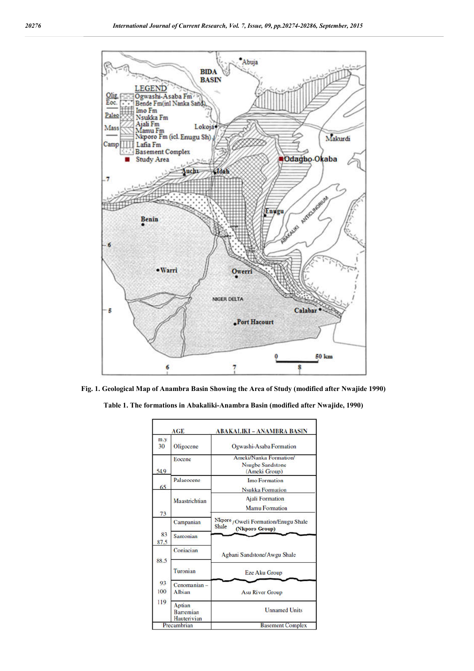

**Fig. 1. Geological Map of Anambra Basin Showing the Area of Study (modified after Nwajide 1990)**

**Table 1. The formations in Abakaliki-Anambra Basin (modified after Nwajide, 1990)**

|                          | AGE                                       | <b>ABAKALIKI - ANAMBRA BASIN</b>                                   |  |  |  |  |  |  |  |
|--------------------------|-------------------------------------------|--------------------------------------------------------------------|--|--|--|--|--|--|--|
| m.y<br>30                | Oligocene                                 | Ogwashi-Asaba Formation                                            |  |  |  |  |  |  |  |
| 54.9                     | Eocene                                    | Ameki/Nanka Formation/<br><b>Nsugbe Sandstone</b><br>(Ameki Group) |  |  |  |  |  |  |  |
|                          | Palaeocene                                | Imo Formation                                                      |  |  |  |  |  |  |  |
| 65                       |                                           | <b>Nsukka Formation</b>                                            |  |  |  |  |  |  |  |
| 73                       | Maastrichtian                             | <b>Ajali</b> Formation                                             |  |  |  |  |  |  |  |
|                          |                                           | <b>Mamu Formation</b>                                              |  |  |  |  |  |  |  |
| 83<br>87.5               | Campanian                                 | Nkporo / Oweli Formation/Enugu Shale<br>Shale<br>(Nkporo Group)    |  |  |  |  |  |  |  |
|                          | Santonian                                 |                                                                    |  |  |  |  |  |  |  |
| 88.5<br>93<br>100<br>119 | Conjacian                                 | Agbani Sandstone/Awgu Shale                                        |  |  |  |  |  |  |  |
|                          | Turonian                                  | <b>Eze Aku Group</b>                                               |  |  |  |  |  |  |  |
|                          | Cenomanian -<br><b>Albian</b>             | <b>Asu River Group</b>                                             |  |  |  |  |  |  |  |
|                          | Aptian<br><b>Barremian</b><br>Hauterivian | <b>Unnamed Units</b>                                               |  |  |  |  |  |  |  |
| Precambrian              |                                           | <b>Basement Complex</b>                                            |  |  |  |  |  |  |  |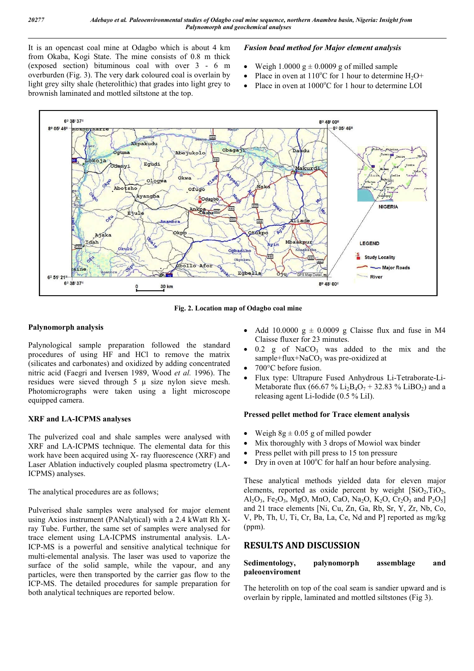It is an opencast coal mine at Odagbo which is about 4 km from Okaba, Kogi State. The mine consists of 0.8 m thick (exposed section) bituminous coal with over 3 - 6 m overburden (Fig. 3). The very dark coloured coal is overlain by light grey silty shale (heterolithic) that grades into light grey to brownish laminated and mottled siltstone at the top.

## *Fusion bead method for Major element analysis*

- Weigh 1.0000 g  $\pm$  0.0009 g of milled sample
- Place in oven at  $110^{\circ}$ C for 1 hour to determine H<sub>2</sub>O+
- Place in oven at 1000°C for 1 hour to determine LOI



**Fig. 2. Location map of Odagbo coal mine**

## **Palynomorph analysis**

Palynological sample preparation followed the standard procedures of using HF and HCl to remove the matrix (silicates and carbonates) and oxidized by adding concentrated nitric acid (Faegri and Iversen 1989, Wood *et al.* 1996). The residues were sieved through  $5 \mu$  size nylon sieve mesh. Photomicrographs were taken using a light microscope equipped camera.

## **XRF and LA-ICPMS analyses**

The pulverized coal and shale samples were analysed with XRF and LA-ICPMS technique. The elemental data for this work have been acquired using X- ray fluorescence (XRF) and Laser Ablation inductively coupled plasma spectrometry (LA-ICPMS) analyses.

The analytical procedures are as follows;

Pulverised shale samples were analysed for major element using Axios instrument (PANalytical) with a 2.4 kWatt Rh Xray Tube. Further, the same set of samples were analysed for trace element using LA-ICPMS instrumental analysis. LA-ICP-MS is a powerful and sensitive analytical technique for multi-elemental analysis. The laser was used to vaporize the surface of the solid sample, while the vapour, and any particles, were then transported by the carrier gas flow to the ICP-MS. The detailed procedures for sample preparation for both analytical techniques are reported below.

- Add 10.0000  $g \pm 0.0009$  g Claisse flux and fuse in M4 Claisse fluxer for 23 minutes.
- $0.2$  g of NaCO<sub>3</sub> was added to the mix and the sample+flux+NaCO<sub>3</sub> was pre-oxidized at
- 700°C before fusion.
- Flux type: Ultrapure Fused Anhydrous Li-Tetraborate-Li-Metaborate flux (66.67 % Li<sub>2</sub>B<sub>4</sub>O<sub>7</sub> + 32.83 % LiBO<sub>2</sub>) and a releasing agent Li-Iodide (0.5 % LiI).

## **Pressed pellet method for Trace element analysis**

- Weigh  $8g \pm 0.05$  g of milled powder
- Mix thoroughly with 3 drops of Mowiol wax binder
- Press pellet with pill press to 15 ton pressure
- Dry in oven at  $100^{\circ}$ C for half an hour before analysing.

These analytical methods yielded data for eleven major elements, reported as oxide percent by weight  $[SiO<sub>2</sub>, TiO<sub>2</sub>]$ , Al<sub>2</sub>O<sub>3</sub>, Fe<sub>2</sub>O<sub>3</sub>, MgO, MnO, CaO, Na<sub>2</sub>O, K<sub>2</sub>O, Cr<sub>2</sub>O<sub>3</sub> and P<sub>2</sub>O<sub>5</sub>] and 21 trace elements [Ni, Cu, Zn, Ga, Rb, Sr, Y, Zr, Nb, Co, V, Pb, Th, U, Ti, Cr, Ba, La, Ce, Nd and P] reported as mg/kg (ppm).

# **RESULTS AND DISCUSSION**

## **Sedimentology, palynomorph assemblage and paleoenviroment**

The heterolith on top of the coal seam is sandier upward and is overlain by ripple, laminated and mottled siltstones (Fig 3).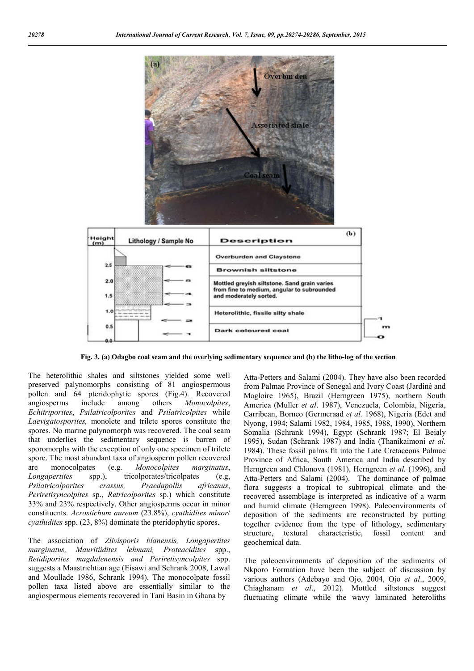

**Fig. 3. (a) Odagbo coal seam and the overlying sedimentary sequence and (b) the litho-log of the section**

The heterolithic shales and siltstones yielded some well preserved palynomorphs consisting of 81 angiospermous pollen and 64 pteridophytic spores (Fig.4). Recovered angiosperms include among others *Monocolpites*, *Echitriporites*, *Psilatricolporites* and *Psilatricolpites* while *Laevigatosporites,* monolete and trilete spores constitute the spores. No marine palynomorph was recovered. The coal seam that underlies the sedimentary sequence is barren of sporomorphs with the exception of only one specimen of trilete spore. The most abundant taxa of angiosperm pollen recovered are monocolpates (e.g. *Monocolpites marginatus*, *Longapertites* spp.), tricolporates/tricolpates (e.g, *Psilatricolporites crassus, Praedapollis africanus*, *Periretisyncolpites* sp., *Retricolporites* sp.) which constitute 33% and 23% respectively. Other angiosperms occur in minor constituents. *Acrostichum aureum* (23.8%), *cyathidites minor*/ *cyathidites* spp. (23, 8%) dominate the pteridophytic spores.

The association of *Zlivisporis blanensis, Longapertites marginatus, Mauritiidites lehmani, Proteacidites* spp., *Retidiporites magdalenensis and Periretisyncolpites* spp. suggests a Maastrichtian age (Eisawi and Schrank 2008, Lawal and Moullade 1986, Schrank 1994). The monocolpate fossil pollen taxa listed above are essentially similar to the angiospermous elements recovered in Tani Basin in Ghana by

Atta-Petters and Salami (2004). They have also been recorded from Palmae Province of Senegal and Ivory Coast (Jardiné and Magloire 1965), Brazil (Herngreen 1975), northern South America (Muller *et al*. 1987), Venezuela, Colombia, Nigeria, Carribean, Borneo (Germeraad *et al.* 1968), Nigeria (Edet and Nyong, 1994; Salami 1982, 1984, 1985, 1988, 1990), Northern Somalia (Schrank 1994), Egypt (Schrank 1987; El Beialy 1995), Sudan (Schrank 1987) and India (Thanikaimoni *et al.*  1984). These fossil palms fit into the Late Cretaceous Palmae Province of Africa, South America and India described by Herngreen and Chlonova (1981), Herngreen *et al.* (1996), and Atta-Petters and Salami (2004). The dominance of palmae flora suggests a tropical to subtropical climate and the recovered assemblage is interpreted as indicative of a warm and humid climate (Herngreen 1998). Paleoenvironments of deposition of the sediments are reconstructed by putting together evidence from the type of lithology, sedimentary structure, textural characteristic, fossil content and geochemical data.

The paleoenvironments of deposition of the sediments of Nkporo Formation have been the subject of discussion by various authors (Adebayo and Ojo, 2004, Ojo *et al*., 2009, Chiaghanam *et al*., 2012). Mottled siltstones suggest fluctuating climate while the wavy laminated heteroliths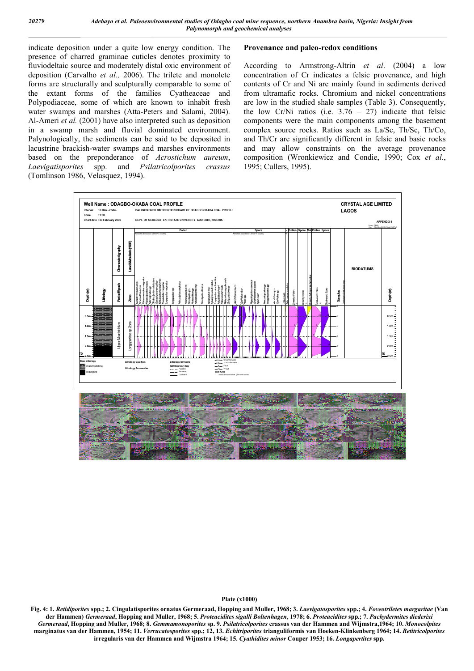indicate deposition under a quite low energy condition. The presence of charred graminae cuticles denotes proximity to fluviodeltaic source and moderately distal oxic environment of deposition (Carvalho *et al.,* 2006). The trilete and monolete forms are structurally and sculpturally comparable to some of the extant forms of the families Cyatheaceae and Polypodiaceae, some of which are known to inhabit fresh water swamps and marshes (Atta-Peters and Salami, 2004). Al-Ameri *et al.* (2001) have also interpreted such as deposition in a swamp marsh and fluvial dominated environment. Palynologically, the sediments can be said to be deposited in lacustrine brackish-water swamps and marshes environments based on the preponderance of *Acrostichum aureum*, *Laevigatisporites* spp. and *Psilatricolporites crassus* (Tomlinson 1986, Velasquez, 1994).

#### **Provenance and paleo-redox conditions**

According to Armstrong-Altrin *et al*. (2004) a low concentration of Cr indicates a felsic provenance, and high contents of Cr and Ni are mainly found in sediments derived from ultramafic rocks. Chromium and nickel concentrations are low in the studied shale samples (Table 3). Consequently, the low Cr/Ni ratios (i.e.  $3.76 - 27$ ) indicate that felsic components were the main components among the basement complex source rocks. Ratios such as La/Sc, Th/Sc, Th/Co, and Th/Cr are significantly different in felsic and basic rocks and may allow constraints on the average provenance composition (Wronkiewicz and Condie, 1990; Cox *et al*., 1995; Cullers, 1995).





**Plate (x1000)**

**Fig. 4: 1.** *Retidiporites* **spp.; 2. Cingulatisporites ornatus Germeraad, Hopping and Muller, 1968; 3.** *Laevigatosporites* **spp.; 4.** *Foveotriletes margaritae* **(Van der Hammen)** *Germeraad***, Hopping and Muller, 1968; 5.** *Proteacidites sigalli Boltenhagen***, 1978; 6.** *Proteacidites* **spp.; 7.** *Pachydermites diederixi Germeraad***, Hopping and Muller, 1968; 8.** *Gemmamonoporites* **sp. 9.** *Psilatricolporites* **crassus van der Hammen and Wijmstra,1964; 10.** *Monocolpites* **marginatus van der Hammen, 1954; 11.** *Verrucatosporites* **spp.; 12, 13.** *Echitriporites* **trianguliformis van Hoeken-Klinkenberg 1964; 14.** *Retitricolporites* **irregularis van der Hammen and Wijmstra 1964; 15.** *Cyathidites minor* **Couper 1953; 16.** *Longapertites* **spp.**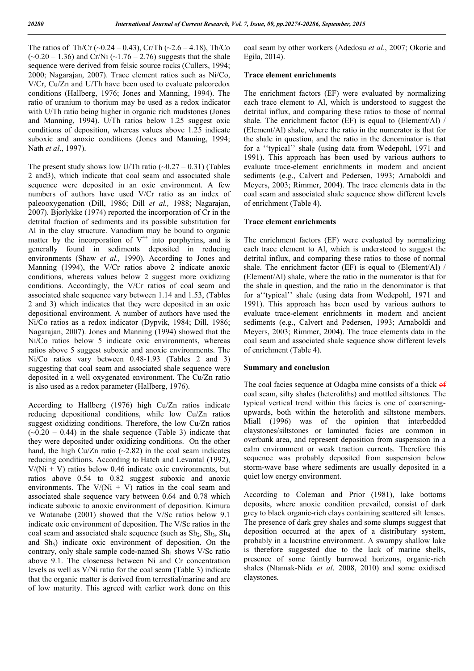The ratios of Th/Cr ( $\sim$ 0.24 – 0.43), Cr/Th ( $\sim$ 2.6 – 4.18), Th/Co  $(-0.20 - 1.36)$  and Cr/Ni  $(-1.76 - 2.76)$  suggests that the shale sequence were derived from felsic source rocks (Cullers, 1994; 2000; Nagarajan, 2007). Trace element ratios such as Ni/Co, V/Cr, Cu/Zn and U/Th have been used to evaluate paleoredox conditions (Hallberg, 1976; Jones and Manning, 1994). The ratio of uranium to thorium may be used as a redox indicator with U/Th ratio being higher in organic rich mudstones (Jones and Manning, 1994). U/Th ratios below 1.25 suggest oxic conditions of deposition, whereas values above 1.25 indicate suboxic and anoxic conditions (Jones and Manning, 1994; Nath *et al*., 1997).

The present study shows low U/Th ratio  $(-0.27 - 0.31)$  (Tables 2 and3), which indicate that coal seam and associated shale sequence were deposited in an oxic environment. A few numbers of authors have used V/Cr ratio as an index of paleooxygenation (Dill, 1986; Dill *et al.,* 1988; Nagarajan, 2007). Bjorlykke (1974) reported the incorporation of Cr in the detrital fraction of sediments and its possible substitution for Al in the clay structure. Vanadium may be bound to organic matter by the incorporation of  $V^{4+}$  into porphyrins, and is generally found in sediments deposited in reducing environments (Shaw *et al.,* 1990). According to Jones and Manning (1994), the V/Cr ratios above 2 indicate anoxic conditions, whereas values below 2 suggest more oxidizing conditions. Accordingly, the V/Cr ratios of coal seam and associated shale sequence vary between 1.14 and 1.53, (Tables 2 and 3) which indicates that they were deposited in an oxic depositional environment. A number of authors have used the Ni/Co ratios as a redox indicator (Dypvik, 1984; Dill, 1986; Nagarajan, 2007). Jones and Manning (1994) showed that the Ni/Co ratios below 5 indicate oxic environments, whereas ratios above 5 suggest suboxic and anoxic environments. The Ni/Co ratios vary between 0.48-1.93 (Tables 2 and 3) suggesting that coal seam and associated shale sequence were deposited in a well oxygenated environment. The Cu/Zn ratio is also used as a redox parameter (Hallberg, 1976).

According to Hallberg (1976) high Cu/Zn ratios indicate reducing depositional conditions, while low Cu/Zn ratios suggest oxidizing conditions. Therefore, the low Cu/Zn ratios  $(-0.20 - 0.44)$  in the shale sequence (Table 3) indicate that they were deposited under oxidizing conditions. On the other hand, the high Cu/Zn ratio  $(-2.82)$  in the coal seam indicates reducing conditions. According to Hatch and Levantal (1992),  $V/(Ni + V)$  ratios below 0.46 indicate oxic environments, but ratios above 0.54 to 0.82 suggest suboxic and anoxic environments. The  $V/(Ni + V)$  ratios in the coal seam and associated shale sequence vary between 0.64 and 0.78 which indicate suboxic to anoxic environment of deposition. Kimura ve Watanabe (2001) showed that the V/Sc ratios below 9.1 indicate oxic environment of deposition. The V/Sc ratios in the coal seam and associated shale sequence (such as  $Sh_2, Sh_3, Sh_4$ and  $Sh<sub>5</sub>$ ) indicate oxic environment of deposition. On the contrary, only shale sample code-named  $Sh_1$  shows V/Sc ratio above 9.1. The closeness between Ni and Cr concentration levels as well as V/Ni ratio for the coal seam (Table 3) indicate that the organic matter is derived from terrestial/marine and are of low maturity. This agreed with earlier work done on this

coal seam by other workers (Adedosu *et al*., 2007; Okorie and Egila, 2014).

#### **Trace element enrichments**

The enrichment factors (EF) were evaluated by normalizing each trace element to Al, which is understood to suggest the detrital influx, and comparing these ratios to those of normal shale. The enrichment factor (EF) is equal to (Element/Al) / (Element/Al) shale, where the ratio in the numerator is that for the shale in question, and the ratio in the denominator is that for a ''typical'' shale (using data from Wedepohl, 1971 and 1991). This approach has been used by various authors to evaluate trace-element enrichments in modern and ancient sediments (e.g., Calvert and Pedersen, 1993; Arnaboldi and Meyers, 2003; Rimmer, 2004). The trace elements data in the coal seam and associated shale sequence show different levels of enrichment (Table 4).

#### **Trace element enrichments**

The enrichment factors (EF) were evaluated by normalizing each trace element to Al, which is understood to suggest the detrital influx, and comparing these ratios to those of normal shale. The enrichment factor (EF) is equal to (Element/Al) / (Element/Al) shale, where the ratio in the numerator is that for the shale in question, and the ratio in the denominator is that for a''typical'' shale (using data from Wedepohl, 1971 and 1991). This approach has been used by various authors to evaluate trace-element enrichments in modern and ancient sediments (e.g., Calvert and Pedersen, 1993; Arnaboldi and Meyers, 2003; Rimmer, 2004). The trace elements data in the coal seam and associated shale sequence show different levels of enrichment (Table 4).

#### **Summary and conclusion**

The coal facies sequence at Odagba mine consists of a thick  $\theta$ coal seam, silty shales (heteroliths) and mottled siltstones. The typical vertical trend within this facies is one of coarseningupwards, both within the heterolith and siltstone members. Miall (1996) was of the opinion that interbedded claystones/siltstones or laminated facies are common in overbank area, and represent deposition from suspension in a calm environment or weak traction currents. Therefore this sequence was probably deposited from suspension below storm-wave base where sediments are usually deposited in a quiet low energy environment.

According to Coleman and Prior (1981), lake bottoms deposits, where anoxic condition prevailed, consist of dark grey to black organic-rich clays containing scattered silt lenses. The presence of dark grey shales and some slumps suggest that deposition occurred at the apex of a distributary system, probably in a lacustrine environment. A swampy shallow lake is therefore suggested due to the lack of marine shells, presence of some faintly burrowed horizons, organic-rich shales (Ntamak-Nida *et al*. 2008, 2010) and some oxidised claystones.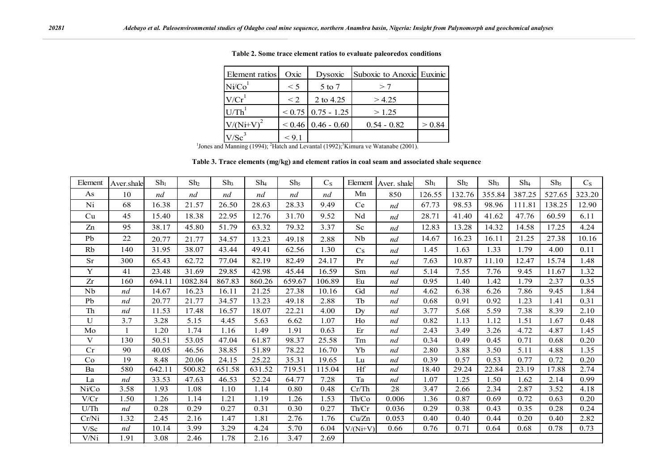| Element ratios                                                                                                         | Oxic     | Dysoxic                | Suboxic to Anoxic Euxinic |        |  |  |  |
|------------------------------------------------------------------------------------------------------------------------|----------|------------------------|---------------------------|--------|--|--|--|
| Ni/Co <sup>1</sup>                                                                                                     | $\leq 5$ | 5 to 7                 | >7                        |        |  |  |  |
| V/Cr                                                                                                                   | $\leq$ 2 | 2 to 4.25              | > 4.25                    |        |  |  |  |
| U/Th'                                                                                                                  |          | $< 0.75$   0.75 - 1.25 | >1.25                     |        |  |  |  |
| $V/(Ni+V)^2$                                                                                                           |          | $0.46$   0.46 - 0.60   | $0.54 - 0.82$             | > 0.84 |  |  |  |
| $V/Sc^3$                                                                                                               | < 9.1    |                        |                           |        |  |  |  |
| <sup>1</sup> Jones and Manning (1994); <sup>2</sup> Hatch and Levantal (1992); <sup>3</sup> Kimura ve Watanabe (2001). |          |                        |                           |        |  |  |  |

**Table 2. Some trace element ratios to evaluate paleoredox conditions**

**Table 3. Trace elements (mg/kg) and element ratios in coal seam and associated shale sequence**

| Element | Aver shale | $Sh_1$ | Sh <sub>2</sub> | Sh <sub>3</sub> | $Sh_4$ | Sh <sub>5</sub> | $C_S$  |                | Element   Aver. shale | $Sh_1$ | Sh <sub>2</sub> | Sh <sub>3</sub> | $Sh_4$ | Sh <sub>5</sub> | $C_S$  |
|---------|------------|--------|-----------------|-----------------|--------|-----------------|--------|----------------|-----------------------|--------|-----------------|-----------------|--------|-----------------|--------|
| As      | 10         | nd     | nd              | nd              | nd     | nd              | nd     | Mn             | 850                   | 126.55 | 132.76          | 355.84          | 387.25 | 527.65          | 323.20 |
| Ni      | 68         | 16.38  | 21.57           | 26.50           | 28.63  | 28.33           | 9.49   | Ce             | nd                    | 67.73  | 98.53           | 98.96           | 111.81 | 138.25          | 12.90  |
| Cu      | 45         | 15.40  | 18.38           | 22.95           | 12.76  | 31.70           | 9.52   | Nd             | nd                    | 28.71  | 41.40           | 41.62           | 47.76  | 60.59           | 6.11   |
| Zn      | 95         | 38.17  | 45.80           | 51.79           | 63.32  | 79.32           | 3.37   | Sc             | nd                    | 12.83  | 13.28           | 14.32           | 14.58  | 17.25           | 4.24   |
| Pb      | 22         | 20.77  | 21.77           | 34.57           | 13.23  | 49.18           | 2.88   | Nb             | nd                    | 14.67  | 16.23           | 16.11           | 21.25  | 27.38           | 10.16  |
| Rb      | 140        | 31.95  | 38.07           | 43.44           | 49.41  | 62.56           | 1.30   | Cs             | nd                    | 1.45   | 1.63            | 1.33            | 1.79   | 4.00            | 0.11   |
| Sr      | 300        | 65.43  | 62.72           | 77.04           | 82.19  | 82.49           | 24.17  | Pr             | nd                    | 7.63   | 10.87           | 11.10           | 12.47  | 15.74           | 1.48   |
| Y       | 41         | 23.48  | 31.69           | 29.85           | 42.98  | 45.44           | 16.59  | Sm             | nd                    | 5.14   | 7.55            | 7.76            | 9.45   | 11.67           | 1.32   |
| Zr      | 160        | 694.11 | 1082.84         | 867.83          | 860.26 | 659.67          | 106.89 | Eu             | nd                    | 0.95   | 1.40            | 1.42            | 1.79   | 2.37            | 0.35   |
| Nb      | nd         | 14.67  | 16.23           | 16.11           | 21.25  | 27.38           | 10.16  | Gd             | nd                    | 4.62   | 6.38            | 6.26            | 7.86   | 9.45            | 1.84   |
| Pb      | nd         | 20.77  | 21.77           | 34.57           | 13.23  | 49.18           | 2.88   | Tb             | nd                    | 0.68   | 0.91            | 0.92            | 1.23   | 1.41            | 0.31   |
| Th      | nd         | 11.53  | 17.48           | 16.57           | 18.07  | 22.21           | 4.00   | D <sub>V</sub> | nd                    | 3.77   | 5.68            | 5.59            | 7.38   | 8.39            | 2.10   |
| U       | 3.7        | 3.28   | 5.15            | 4.45            | 5.63   | 6.62            | 1.07   | Ho             | nd                    | 0.82   | 1.13            | 1.12            | 1.51   | 1.67            | 0.48   |
| Mo      |            | 1.20   | 1.74            | 1.16            | 1.49   | 1.91            | 0.63   | Er             | nd                    | 2.43   | 3.49            | 3.26            | 4.72   | 4.87            | 1.45   |
| V       | 130        | 50.51  | 53.05           | 47.04           | 61.87  | 98.37           | 25.58  | Tm             | nd                    | 0.34   | 0.49            | 0.45            | 0.71   | 0.68            | 0.20   |
| Cr      | 90         | 40.05  | 46.56           | 38.85           | 51.89  | 78.22           | 16.70  | Yb             | nd                    | 2.80   | 3.88            | 3.50            | 5.11   | 4.88            | 1.35   |
| Co      | 19         | 8.48   | 20.06           | 24.15           | 25.22  | 35.31           | 19.65  | Lu             | nd                    | 0.39   | 0.57            | 0.53            | 0.77   | 0.72            | 0.20   |
| Ba      | 580        | 642.11 | 500.82          | 651.58          | 631.52 | 719.51          | 115.04 | Hf             | nd                    | 18.40  | 29.24           | 22.84           | 23.19  | 17.88           | 2.74   |
| La      | nd         | 33.53  | 47.63           | 46.53           | 52.24  | 64.77           | 7.28   | Ta             | nd                    | 1.07   | 1.25            | 1.50            | 1.62   | 2.14            | 0.99   |
| Ni/Co   | 3.58       | 1.93   | 1.08            | 1.10            | 1.14   | 0.80            | 0.48   | Cr/Th          | 28                    | 3.47   | 2.66            | 2.34            | 2.87   | 3.52            | 4.18   |
| V/Cr    | 1.50       | 1.26   | 1.14            | 1.21            | 1.19   | 1.26            | 1.53   | Th/Co          | 0.006                 | 1.36   | 0.87            | 0.69            | 0.72   | 0.63            | 0.20   |
| U/Th    | nd         | 0.28   | 0.29            | 0.27            | 0.31   | 0.30            | 0.27   | Th/Cr          | 0.036                 | 0.29   | 0.38            | 0.43            | 0.35   | 0.28            | 0.24   |
| Cr/Ni   | 1.32       | 2.45   | 2.16            | 1.47            | 1.81   | 2.76            | 1.76   | Cu/Zn          | 0.053                 | 0.40   | 0.40            | 0.44            | 0.20   | 0.40            | 2.82   |
| V/Sc    | nd         | 10.14  | 3.99            | 3.29            | 4.24   | 5.70            | 6.04   | $V/(Ni+V)$     | 0.66                  | 0.76   | 0.71            | 0.64            | 0.68   | 0.78            | 0.73   |
| V/Ni    | 1.91       | 3.08   | 2.46            | 1.78            | 2.16   | 3.47            | 2.69   |                |                       |        |                 |                 |        |                 |        |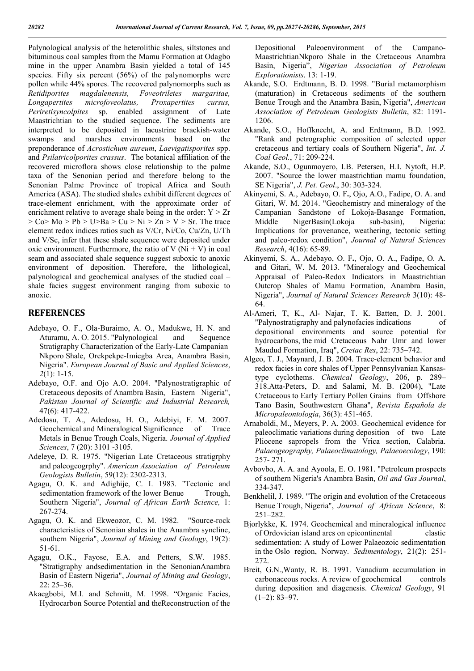Palynological analysis of the heterolithic shales, siltstones and bituminous coal samples from the Mamu Formation at Odagbo mine in the upper Anambra Basin yielded a total of 145 species. Fifty six percent (56%) of the palynomorphs were pollen while 44% spores. The recovered palynomorphs such as *Retidiporites magdalenensis, Foveotriletes margaritae, Longapertites microfoveolatus, Proxapertites cursus, Periretisyncolpites* sp. enabled assignment of Late Maastrichtian to the studied sequence. The sediments are interpreted to be deposited in lacustrine brackish-water swamps and marshes environments based on the preponderance of *Acrostichum aureum*, *Laevigatisporites* spp. and *Psilatricolporites crassus*. The botanical affiliation of the recovered microflora shows close relationship to the palme taxa of the Senonian period and therefore belong to the Senonian Palme Province of tropical Africa and South America (ASA). The studied shales exhibit different degrees of trace-element enrichment, with the approximate order of enrichment relative to average shale being in the order:  $Y > Zr$  $>$  Co $>$  Mo  $>$  Pb  $>$  U $>$ Ba  $>$  Cu  $>$  Ni  $>$  Zn  $>$  V  $>$  Sr. The trace element redox indices ratios such as V/Cr, Ni/Co, Cu/Zn, U/Th and V/Sc, infer that these shale sequence were deposited under oxic environment. Furthermore, the ratio of V ( $Ni + V$ ) in coal seam and associated shale sequence suggest suboxic to anoxic environment of deposition. Therefore, the lithological, palynological and geochemical analyses of the studied coal – shale facies suggest environment ranging from suboxic to anoxic.

# **REFERENCES**

- Adebayo, O. F., Ola-Buraimo, A. O., Madukwe, H. N. and Aturamu, A. O. 2015. "Palynological and Sequence Stratigraphy Characterization of the Early-Late Campanian Nkporo Shale, Orekpekpe-Imiegba Area, Anambra Basin, Nigeria". *European Journal of Basic and Applied Sciences*, *2*(1): 1-15.
- Adebayo, O.F. and Ojo A.O. 2004. "Palynostratigraphic of Cretaceous deposits of Anambra Basin, Eastern Nigeria", *Pakistan Journal of Scientific and Industrial Research,* 47(6): 417-422.
- Adedosu, T. A., Adedosu, H. O., Adebiyi, F. M. 2007. Geochemical and Mineralogical Significance of Trace Metals in Benue Trough Coals, Nigeria. *Journal of Applied Sciences*, 7 (20): 3101 -3105.
- Adeleye, D. R. 1975. "Nigerian Late Cretaceous stratigrphy and paleogeogrphy". *American Association of Petroleum Geologists Bulletin*, 59(12): 2302-2313.
- Agagu, O. K. and Adighije, C. I. 1983. "Tectonic and sedimentation framework of the lower Benue Trough, Southern Nigeria", *Journal of African Earth Science,* 1: 267-274.
- Agagu, O. K. and Ekweozor, C. M. 1982. "Source-rock characteristics of Senonian shales in the Anambra syncline, southern Nigeria", *Journal of Mining and Geology*, 19(2): 51-61.
- Agagu, O.K., Fayose, E.A. and Petters, S.W. 1985. "Stratigraphy andsedimentation in the SenonianAnambra Basin of Eastern Nigeria", *Journal of Mining and Geology*, 22: 25–36.
- Akaegbobi, M.I. and Schmitt, M. 1998. "Organic Facies, Hydrocarbon Source Potential and theReconstruction of the

Depositional Paleoenvironment of the Campano-MaastrichtianNkporo Shale in the Cretaceous Anambra Basin, Nigeria", *Nigerian Association of Petroleum Explorationists*. 13: 1-19.

- Akande, S.O. Erdtmann, B. D. 1998. "Burial metamorphism (maturation) in Cretaceous sediments of the southern Benue Trough and the Anambra Basin, Nigeria", *American Association of Petroleum Geologists Bulletin*, 82: 1191- 1206.
- Akande, S.O., Hoffknecht, A. and Erdtmann, B.D. 1992. "Rank and petrographic composition of selected upper cretaceous and tertiary coals of Southern Nigeria", *Int. J. Coal Geol.*, 71: 209-224.
- Akande, S.O., Ogunmoyero, I.B. Petersen, H.I. Nytoft, H.P. 2007. "Source the lower maastrichtian mamu foundation, SE Nigeria", *J. Pet. Geol*., 30: 303-324.
- Akinyemi, S. A., Adebayo, O. F**.**, Ojo, A.O., Fadipe, O. A. and Gitari, W. M. 2014. "Geochemistry and mineralogy of the Campanian Sandstone of Lokoja-Basange Formation, Middle NigerBasin(Lokoja sub-basin), Nigeria: Implications for provenance, weathering, tectonic setting and paleo-redox condition", *Journal of Natural Sciences Research*, 4(16): 65-89.
- Akinyemi, S. A., Adebayo, O. F**.**, Ojo, O. A., Fadipe, O. A. and Gitari, W. M. 2013. "Mineralogy and Geochemical Appraisal of Paleo-Redox Indicators in Maastrichtian Outcrop Shales of Mamu Formation, Anambra Basin, Nigeria", *Journal of Natural Sciences Research* 3(10): 48- 64.
- Al-Ameri, T, K., Al- Najar, T. K. Batten, D. J. 2001. "Palynostratigraphy and palynofacies indications of depositional environments and source potential for hydrocarbons, the mid Cretaceous Nahr Umr and lower Maudud Formation, Iraq", *Cretac Res*, 22: 735–742.
- Algeo, T. J., Maynard, J. B. 2004. Trace-element behavior and redox facies in core shales of Upper Pennsylvanian Kansastype cyclothems. *Chemical Geology*, 206, p. 289– 318.Atta-Peters, D. and Salami, M. B. (2004), "Late Cretaceous to Early Tertiary Pollen Grains from Offshore Tano Basin, Southwestern Ghana", *Revista Española de Micropaleontología*, 36(3): 451-465.
- Arnaboldi, M., Meyers, P. A. 2003. Geochemical evidence for paleoclimatic variations during deposition of two Late Pliocene sapropels from the Vrica section, Calabria. *Palaeogeography, Palaeoclimatology, Palaeoecology*, 190: 257- 271.
- Avbovbo, A. A. and Ayoola, E. O. 1981. "Petroleum prospects of southern Nigeria's Anambra Basin, *Oil and Gas Journal*, 334-347.
- Benkhelil, J. 1989. "The origin and evolution of the Cretaceous Benue Trough, Nigeria", *Journal of African Science*, 8: 251–282.
- Bjorlykke, K. 1974. Geochemical and mineralogical influence of Ordovician island arcs on epicontinental clastic sedimentation: A study of Lower Palaeozoic sedimentation in the Oslo region, Norway. *Sedimentology*, 21(2): 251- 272.
- Breit, G.N.,Wanty, R. B. 1991. Vanadium accumulation in carbonaceous rocks. A review of geochemical controls during deposition and diagenesis. *Chemical Geology*, 91  $(1-2)$ : 83-97.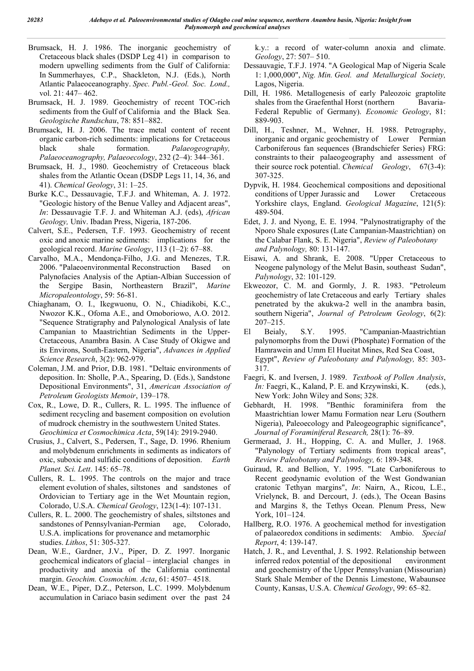- Brumsack, H. J. 1986. The inorganic geochemistry of Cretaceous black shales (DSDP Leg 41) in comparison to modern upwelling sediments from the Gulf of California: In Summerhayes, C.P., Shackleton, N.J. (Eds.), North Atlantic Palaeoceanography. *Spec. Publ.-Geol. Soc. Lond.,*  vol. 21: 447– 462.
- Brumsack, H. J. 1989. Geochemistry of recent TOC-rich sediments from the Gulf of California and the Black Sea. *Geologische Rundschau*, 78: 851–882.
- Brumsack, H. J. 2006. The trace metal content of recent organic carbon-rich sediments: implications for Cretaceous black shale formation. *Palaeogeography, Palaeoceanography, Palaeoecology*, 232 (2–4): 344–361.
- Brumsack, H. J., 1980. Geochemistry of Cretaceous black shales from the Atlantic Ocean (DSDP Legs 11, 14, 36, and 41). *Chemical Geology*, 31: 1–25.
- Burke K.C., Dessauvagie, T.F.J. and Whiteman, A. J. 1972. "Geologic history of the Benue Valley and Adjacent areas", *In*: Dessauvagie T.F. J. and Whiteman A.J. (eds), *African Geology,* Univ. Ibadan Press, Nigeria, 187-206.
- Calvert, S.E., Pedersen, T.F. 1993. Geochemistry of recent oxic and anoxic marine sediments: implications for the geological record. *Marine Geology*, 113 (1–2): 67–88.
- Carvalho, M.A., Mendonça-Filho, J.G. and Menezes, T.R. 2006. "Palaeoenvironmental Reconstruction Based on Palynofacies Analysis of the Aptian-Albian Succession of the Sergipe Basin, Northeastern Brazil", *Marine Micropaleontology*, 59: 56-81.
- Chiaghanam, O. I., Ikegwuonu, O. N., Chiadikobi, K.C., Nwozor K.K., Ofoma A.E., and Omoboriowo, A.O. 2012. "Sequence Stratigraphy and Palynological Analysis of late Campanian to Maastrichtian Sediments in the Upper-Cretaceous, Anambra Basin. A Case Study of Okigwe and its Environs, South-Eastern, Nigeria", *Advances in Applied Science Research*, 3(2): 962-979.
- Coleman, J.M. and Prior, D.B. 1981. "Deltaic environments of deposition. In: Sholle, P.A., Spearing, D. (Eds.), Sandstone Depositional Environments", 31, *American Association of Petroleum Geologists Memoir*, 139–178.
- Cox, R., Lowe, D. R., Cullers, R. L. 1995. The influence of sediment recycling and basement composition on evolution of mudrock chemistry in the southwestern United States. *Geochimica et Cosmochimica Acta*, 59(14): 2919-2940.
- Crusius, J., Calvert, S., Pedersen, T., Sage, D. 1996. Rhenium and molybdenum enrichments in sediments as indicators of oxic, suboxic and sulfidic conditions of deposition. *Earth Planet. Sci. Lett*. 145: 65–78.
- Cullers, R. L. 1995. The controls on the major and trace element evolution of shales, siltstones and sandstones of Ordovician to Tertiary age in the Wet Mountain region, Colorado, U.S.A. *Chemical Geology*, 123(1-4): 107-131.
- Cullers, R. L. 2000. The geochemistry of shales, siltstones and sandstones of Pennsylvanian-Permian age, Colorado, U.S.A. implications for provenance and metamorphic studies. *Lithos*, 51: 305-327.
- Dean, W.E., Gardner, J.V., Piper, D. Z. 1997. Inorganic geochemical indicators of glacial – interglacial changes in productivity and anoxia of the California continental margin. *Geochim. Cosmochim. Acta*, 61: 4507– 4518.
- Dean, W.E., Piper, D.Z., Peterson, L.C. 1999. Molybdenum accumulation in Cariaco basin sediment over the past 24

k.y.: a record of water-column anoxia and climate. *Geology*, 27: 507– 510.

- Dessauvagie, T.F.J. 1974. "A Geological Map of Nigeria Scale 1: 1,000,000", *Nig. Min. Geol. and Metallurgical Society,*  Lagos, Nigeria.
- Dill, H. 1986. Metallogenesis of early Paleozoic graptolite shales from the Graefenthal Horst (northern Bavaria-Federal Republic of Germany). *Economic Geology*, 81: 889-903.
- Dill, H., Teshner, M., Wehner, H. 1988. Petrography, inorganic and organic geochemistry of Lower Permian Carboniferous fan sequences (Brandschiefer Series) FRG: constraints to their palaeogeography and assessment of their source rock potential. *Chemical Geology*, 67(3-4): 307-325.
- Dypvik, H. 1984. Geochemical compositions and depositional conditions of Upper Jurassic and Lower Cretaceous Yorkshire clays, England. *Geological Magazine*, 121(5): 489-504.
- Edet, J. J. and Nyong, E. E. 1994. "Palynostratigraphy of the Nporo Shale exposures (Late Campanian-Maastrichtian) on the Calabar Flank, S. E. Nigeria", *Review of Paleobotany and Palynology,* 80: 131-147.
- Eisawi, A. and Shrank, E. 2008. "Upper Cretaceous to Neogene palynology of the Melut Basin, southeast Sudan", *Palynology*, 32: 101-129.
- Ekweozor, C. M. and Gormly, J. R. 1983. "Petroleum geochemistry of late Cretaceous and early Tertiary shales penetrated by the akukwa-2 well in the anambra basin, southern Nigeria", *Journal of Petroleum Geology*, 6(2): 207–215.
- El Beialy, S.Y. 1995. "Campanian-Maastrichtian palynomorphs from the Duwi (Phosphate) Formation of the Hamrawein and Umm El Hueitat Mines, Red Sea Coast, Egypt", *Review of Paleobotany and Palynology,* 85: 303- 317.
- Faegri, K. and Iversen, J. 1989. *Textbook of Pollen Analysis*, *In:* Faegri, K., Kaland, P. E. and Krzywinski, K. (eds.), New York: John Wiley and Sons; 328.
- Gebhardt, H. 1998. "Benthic foraminifera from the Maastrichtian lower Mamu Formation near Leru (Southern Nigeria), Paleoecology and Paleogeographic significance", *Journal of Foraminiferal Research,* 28(1): 76–89.
- Germeraad, J. H., Hopping, C. A. and Muller, J. 1968. "Palynology of Tertiary sediments from tropical areas", *Review Paleobotany and Palynology,* 6: 189-348.
- Guiraud, R. and Bellion, Y. 1995. "Late Carboniferous to Recent geodynamic evolution of the West Gondwanian cratonic Tethyan margins", *In*: Nairn, A., Ricou, L.E., Vrielynck, B. and Dercourt, J. (eds.), The Ocean Basins and Margins 8, the Tethys Ocean. Plenum Press, New York, 101–124.
- Hallberg, R.O. 1976. A geochemical method for investigation of palaeoredox conditions in sediments: Ambio. *Special Report*, 4: 139-147.
- Hatch, J. R., and Leventhal, J. S. 1992. Relationship between inferred redox potential of the depositional environment and geochemistry of the Upper Pennsylvanian (Missourian) Stark Shale Member of the Dennis Limestone, Wabaunsee County, Kansas, U.S.A. *Chemical Geology*, 99: 65–82.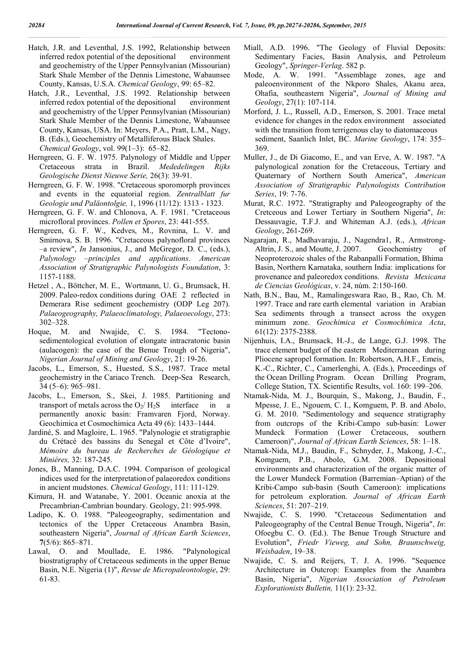- Hatch, J.R. and Leventhal, J.S. 1992, Relationship between inferred redox potential of the depositional environment and geochemistry of the Upper Pennsylvanian (Missourian) Stark Shale Member of the Dennis Limestone, Wabaunsee County, Kansas, U.S.A. *Chemical Geology*, 99: 65–82.
- Hatch, J.R., Leventhal, J.S. 1992. Relationship between inferred redox potential of the depositional environment and geochemistry of the Upper Pennsylvanian (Missourian) Stark Shale Member of the Dennis Limestone, Wabaunsee County, Kansas, USA. In: Meyers, P.A., Pratt, L.M., Nagy, B. (Eds.), Geochemistry of Metalliferous Black Shales. *Chemical Geology*, vol. 99(1–3): 65–82.
- Herngreen, G. F. W. 1975. Palynology of Middle and Upper Cretaceous strata in Brazil. *Mededelingen Rijks Geologische Dienst Nieuwe Serie,* 26(3): 39-91.
- Herngreen, G. F. W. 1998. "Cretaceous sporomorph provinces and events in the equatorial region. *Zentralblatt fur Geologie und Paläontolgie,* 1, 1996 (11/12): 1313 - 1323.
- Herngreen, G. F. W. and Chlonova, A. F. 1981. "Cretaceous microfloral provinces. *Pollen et Spores*, 23: 441-555.
- Herngreen, G. F. W., Kedves, M., Rovnina, L. V. and Smirnova, S. B. 1996. "Cretaceous palynofloral provinces –a review", *In* Jansonius, J., and McGregor, D. C., (eds.), *Palynology –principles and applications*. *American Association of Stratigraphic Palynologists Foundation*, 3: 1157-1188.
- Hetzel , A., Böttcher, M. E., Wortmann, U. G., Brumsack, H. 2009. Paleo-redox conditions during OAE 2 reflected in Demerara Rise sediment geochemistry (ODP Leg 207). *Palaeogeography, Palaeoclimatology, Palaeoecology*, 273: 302–328.
- Hoque, M. and Nwajide, C. S. 1984. "Tectonosedimentological evolution of elongate intracratonic basin (aulacogen): the case of the Benue Trough of Nigeria", *Nigerian Journal of Mining and Geology*, 21: 19-26.
- Jacobs, L., Emerson, S., Huested, S.S., 1987. Trace metal geochemistry in the Cariaco Trench. Deep-Sea Research, 34 (5–6): 965–981.
- Jacobs, L., Emerson, S., Skei, J. 1985. Partitioning and transport of metals across the  $O<sub>2</sub>/ H<sub>2</sub>S$  interface in a permanently anoxic basin: Framvaren Fjord, Norway. Geochimica et Cosmochimica Acta 49 (6): 1433–1444.
- Jardiné, S. and Magloire, L. 1965. "Palynologie et stratigraphie du Crétacé des bassins du Senegal et Côte d'Ivoire", *Mémoire du bureau de Recherches de Géologique et Miniéres,* 32: 187-245.
- Jones, B., Manning, D.A.C. 1994. Comparison of geological indices used for the interpretationof palaeoredox conditions in ancient mudstones. *Chemical Geology*, 111: 111-129.
- Kimura, H. and Watanabe, Y. 2001. Oceanic anoxia at the Precambrian-Cambrian boundary. Geology, 21: 995-998.
- Ladipo, K. O. 1988. "Paleogeography, sedimentation and tectonics of the Upper Cretaceous Anambra Basin, southeastern Nigeria", *Journal of African Earth Sciences*, **7**(5/6): 865–871.
- Lawal, O. and Moullade, E. 1986. "Palynological biostratigraphy of Cretaceous sediments in the upper Benue Basin, N.E. Nigeria (1)", *Revue de Micropaleontologie*, 29: 61-83.
- Miall, A.D. 1996. "The Geology of Fluvial Deposits: Sedimentary Facies, Basin Analysis, and Petroleum Geology", *Springer-Verlag*. 582 p.
- Mode, A. W. 1991. "Assemblage zones, age and paleoenvironment of the Nkporo Shales, Akanu area, Ohafia, southeastern Nigeria", *Journal of Mining and Geology*, 27(1): 107-114.
- Morford, J. L., Russell, A.D., Emerson, S. 2001. Trace metal evidence for changes in the redox environment associated with the transition from terrigenous clay to diatomaceous sediment, Saanlich Inlet, BC. *Marine Geology*, 174: 355– 369.
- Muller, J., de Di Giacomo, E., and van Erve, A. W. 1987. "A palynological zonation for the Cretaceous, Tertiary and Quaternary of Northern South America", *American Association of Stratigraphic Palynologists Contribution Series*, 19: 7-76.
- Murat, R.C. 1972. "Stratigraphy and Paleogeography of the Cretceous and Lower Tertiary in Southern Nigeria", *In*: Dessauvagie, T.F.J. and Whiteman A.J. (eds.), *African Geology*, 261-269.
- Nagarajan, R., Madhavaraju, J., Nagendra1, R., Armstrong-Altrin, J. S., and Moutte, J. 2007. Geochemistry of Neoproterozoic shales of the Rabanpalli Formation, Bhima Basin, Northern Karnataka, southern India: implications for provenance and paleoredox conditions. *Revista Mexicana de Ciencias Geológicas*, v. 24, núm. 2:150-160.
- Nath, B.N., Bau, M., Ramalingeswara Rao, B., Rao, Ch. M. 1997. Trace and rare earth elemental variation in Arabian Sea sediments through a transect across the oxygen minimum zone. *Geochimica et Cosmochimica Acta*, 61(12): 2375-2388.
- Nijenhuis, I.A., Brumsack, H.-J., de Lange, G.J. 1998. The trace element budget of the eastern Mediterranean during Pliocene sapropel formation. In: Robertson, A.H.F., Emeis, K.-C., Richter, C., Camerlenghi, A. (Eds.), Proceedings of the Ocean Drilling Program. Ocean Drilling Program, College Station, TX. Scientific Results, vol. 160: 199–206.
- Ntamak-Nida, M. J., Bourquin, S., Makong, J., Baudin, F., Mpesse, J. E., Ngouem, C. I., Komguem, P. B. and Abolo, G. M. 2010. "Sedimentology and sequence stratigraphy from outcrops of the Kribi-Campo sub-basin: Lower Mundeck Formation (Lower Cretaceous, southern Cameroon)", *Journal of African Earth Sciences*, 58: 1–18.
- Ntamak-Nida, M.J., Baudin, F., Schnyder, J., Makong, J.-C., Komguem, P.B., Abolo, G.M. 2008. Depositional environments and characterization of the organic matter of the Lower Mundeck Formation (Barremian–Aptian) of the Kribi-Campo sub-basin (South Cameroon): implications for petroleum exploration. *Journal of African Earth Sciences*, 51: 207–219.
- Nwajide, C. S. 1990. "Cretaceous Sedimentation and Paleogeography of the Central Benue Trough, Nigeria", *In*: Ofoegbu C. O. (Ed.). The Benue Trough Structure and Evolution", *Friedr Vieweg, and Sohn, Braunschweig, Weisbaden*, 19–38.
- Nwajide, C. S. and Reijers, T. J. A. 1996. "Sequence Architecture in Outcrop: Examples from the Anambra Basin, Nigeria", *Nigerian Association of Petroleum Explorationists Bulletin,* 11(1): 23-32.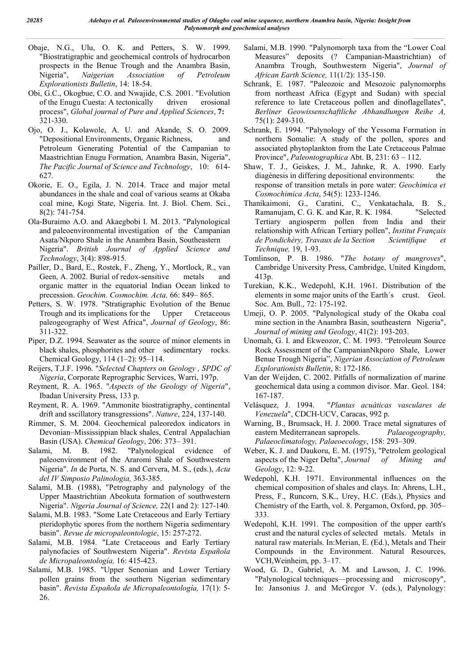- Obaje, N.G., Ulu, O. K. and Petters, S. W. 1999. "Biostratigraphic and geochemical controls of hydrocarbon prospects in the Benue Trough and the Anambra Basin, Nigeria", *Naigerian Association of Petroleum Explorationists Bulletin*, 14: 18-54.
- Obi, G.C., Okogbue, C.O. and Nwajide, C.S. 2001. "Evolution of the Enugu Cuesta: A tectonically driven erosional process", *Global journal of Pure and Applied Sciences*, **7:** 321-330.
- Ojo, O. J., Kolawole, A. U. and Akande, S. O. 2009. "Depositional Environments, Organic Richness, and Petroleum Generating Potential of the Campanian to Maastrichtian Enugu Formation, Anambra Basin, Nigeria", *The Pacific Journal of Science and Technology*, 10: 614- 627.
- Okorie, E. O., Egila, J. N. 2014. Trace and major metal abundances in the shale and coal of various seams at Okaba coal mine, Kogi State, Nigeria. Int. J. Biol. Chem. Sci., 8(2): 741-754.
- Ola-Buraimo A.O. and Akaegbobi I. M. 2013. "Palynological and paleoenvironmental investigation of the Campanian Asata/Nkporo Shale in the Anambra Basin, Southeastern Nigeria". *British Journal of Applied Science and Technology*, 3(4): 898-915*.*
- Pailler, D., Bard, E., Rostek, F., Zheng, Y., Mortlock, R., van Geen, A. 2002. Burial of redox-sensitive metals and organic matter in the equatorial Indian Ocean linked to precession. *Geochim. Cosmochim. Acta,* 66: 849– 865.
- Petters, S. W. 1978. "Stratigraphic Evolution of the Benue Trough and its implications for the Upper Cretaceous paleogeography of West Africa", *Journal of Geology*, 86: 311-322.
- Piper, D.Z. 1994. Seawater as the source of minor elements in black shales, phosphorites and other sedimentary rocks. Chemical Geology, 114 (1–2): 95–114.
- Reijers, T.J.F. 1996. "*Selected Chapters on Geology , SPDC of Nigeria*, Corporate Reprographic Services, Warri, 197p.
- Reyment, R. A. 1965. "*Aspects of the Geology of Nigeria*", Ibadan University Press, 133 p.
- Reyment, R. A. 1969. "Ammonite biostratigraphy, continental drift and sscillatory transgressions". *Nature*, 224, 137-140.
- Rimmer, S. M. 2004. Geochemical paleoredox indicators in Devonian–Mississippian black shales, Central Appalachian Basin (USA). *Chemical Geology*, 206: 373– 391.
- Salami, M. B. 1982. "Palynological evidence of paleoenvironment of the Araromi Shale of Southwestern Nigeria". *In* de Porta, N. S. and Cervera, M. S., (eds.), *Acta del IV Simposio Palinologia,* 363-385.
- Salami, M.B. (1988), "Petrography and palynology of the Upper Maastrichtian Abeokuta formation of southwestern Nigeria". *Nigeria Journal of Science,* 22(1 and 2): 127-140.
- Salami, M.B. 1983. "Some Late Cretaceous and Early Tertiary pteridophytic spores from the northern Nigeria sedimentary basin". *Revue de micropaleontologie*, 15: 257-272.
- Salami, M.B. 1984. "Late Cretaceous and Early Tertiary palynofacies of Southwestern Nigeria". *Revista Española de Micropaleontología,* 16: 415-423.
- Salami, M.B. 1985. "Upper Senonian and Lower Tertiary pollen grains from the southern Nigerian sedimentary basin". *Revista Española de Micropaleontología,* 17(1): 5- 26.
- Salami, M.B. 1990. "Palynomorph taxa from the "Lower Coal Measures" deposits (? Campanian-Maastrichtian) of Anambra Trough, Southwestern Nigeria", *Journal of African Earth Science,* 11(1/2): 135-150.
- Schrank, E. 1987. "Paleozoic and Mesozoic palynomorphs from northeast Africa (Egypt and Sudan) with special reference to late Cretaceous pollen and dinoflagellates", *Berliner Geowissenschaftliche Abhandlungen Reihe A,*  75(1): 249-310.
- Schrank, E. 1994. "Palynology of the Yessoma Formation in northern Somalie: A study of the pollen, spores and associated phytoplankton from the Late Cretaceous Palmae Province", *Paleontographica* Abt. B, 231: 63 – 112.
- Shaw, T. J., Geiskes, J. M., Jahnke, R. A. 1990. Early diagénesis in differing depositional environments: the response of transition metals in pore water: *Geochimica et Cosmochimica Acta*, 54(5): 1233-1246.
- Thanikaimoni, G., Caratini, C., Venkatachala, B. S., Ramanujam, C. G. K. and Kar, R. K. 1984. "Selected Tertiary angiosperm pollen from India and their relationship with African Tertiary pollen", *Institut Français de Pondichéry, Travaux de la Section Scientifique et Technique,* 19, 1-93.
- Tomlinson, P. B. 1986. "*The botany of mangroves*", Cambridge University Press, Cambridge, United Kingdom, 413p.
- Turekian, K.K., Wedepohl, K.H. 1961. Distribution of the elements in some major units of the Earth´s crust. Geol. Soc. Am. Bull., 72: 175-192.
- Umeji, O. P. 2005. "Palynological study of the Okaba coal mine section in the Anambra Basin, southeastern Nigeria", *Journal of mining and Geology*, 41(2): 193-203.
- Unomah, G. I. and Ekweozor, C. M. 1993. "Petroleum Source Rock Assessment of the CampanianNkporo Shale, Lower Benue Trough Nigeria", *Nigerian Association of Petroleum Explorationists Bulletin*, 8: 172-186.
- Van der Weijden, C. 2002. Pitfalls of normalization of marine geochemical data using a common divisor. Mar. Geol. 184: 167-187.
- Velásquez, J. 1994. "*Plantas acuáticas vasculares de Venezuela*", CDCH-UCV, Caracas, 992 p.
- Warning, B., Brumsack, H. J. 2000. Trace metal signatures of eastern Mediterranean sapropels. *Palaeogeography, Palaeoclimatology, Palaeoecology*, 158: 293–309.
- Weber, K. J. and Daukoru, E. M. (1975), "Petrolem geological aspects of the Niger Delta", *Journal of Mining and Geology*, 12: 9-22.
- Wedepohl, K.H. 1971. Environmental influences on the chemical composition of shales and clays. In: Ahrens, L.H., Press, F., Runcorn, S.K., Urey, H.C. (Eds.), Physics and Chemistry of the Earth, vol. 8. Pergamon, Oxford, pp. 305– 333.
- Wedepohl, K.H. 1991. The composition of the upper earth's crust and the natural cycles of selected metals. Metals in natural raw materials. In:Merian, E. (Ed.), Metals and Their Compounds in the Environment. Natural Resources, VCH,Weinheim, pp. 3–17.
- Wood, G. D., Gabriel, A. M. and Lawson, J. C. 1996. "Palynological techniques—processing and microscopy", In: Jansonius J. and McGregor V. (eds.), Palynology: